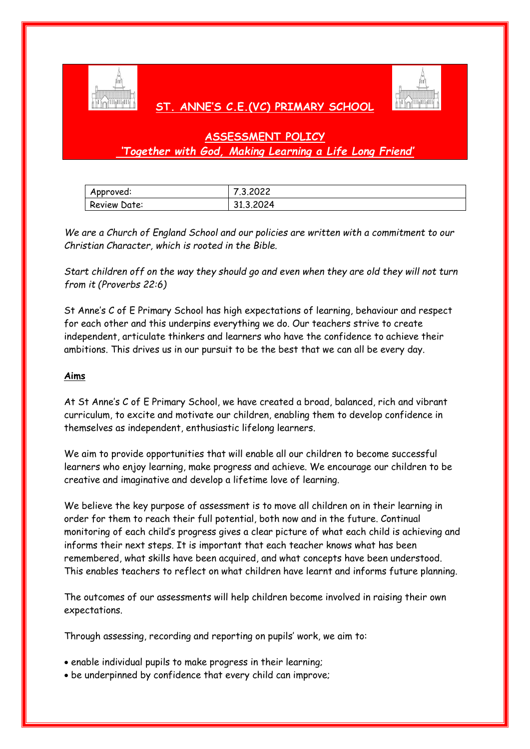

# **ST. ANNE'S C.E.(VC) PRIMARY SCHOOL**



# **ASSESSMENT POLICY** *'Together with God, Making Learning a Life Long Friend'*

| Approved:    | 7.3.2022  |
|--------------|-----------|
| Review Date: | 31.3.2024 |

*We are a Church of England School and our policies are written with a commitment to our Christian Character, which is rooted in the Bible.* 

*Start children off on the way they should go and even when they are old they will not turn from it (Proverbs 22:6)*

St Anne's C of E Primary School has high expectations of learning, behaviour and respect for each other and this underpins everything we do. Our teachers strive to create independent, articulate thinkers and learners who have the confidence to achieve their ambitions. This drives us in our pursuit to be the best that we can all be every day.

## **Aims**

At St Anne's C of E Primary School, we have created a broad, balanced, rich and vibrant curriculum, to excite and motivate our children, enabling them to develop confidence in themselves as independent, enthusiastic lifelong learners.

We aim to provide opportunities that will enable all our children to become successful learners who enjoy learning, make progress and achieve. We encourage our children to be creative and imaginative and develop a lifetime love of learning.

We believe the key purpose of assessment is to move all children on in their learning in order for them to reach their full potential, both now and in the future. Continual monitoring of each child's progress gives a clear picture of what each child is achieving and informs their next steps. It is important that each teacher knows what has been remembered, what skills have been acquired, and what concepts have been understood. This enables teachers to reflect on what children have learnt and informs future planning.

The outcomes of our assessments will help children become involved in raising their own expectations.

Through assessing, recording and reporting on pupils' work, we aim to:

- enable individual pupils to make progress in their learning;
- be underpinned by confidence that every child can improve;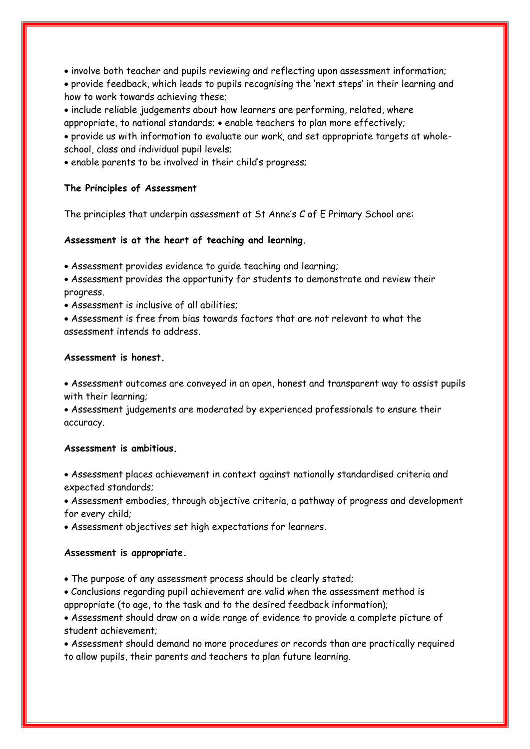involve both teacher and pupils reviewing and reflecting upon assessment information;

 provide feedback, which leads to pupils recognising the 'next steps' in their learning and how to work towards achieving these;

 include reliable judgements about how learners are performing, related, where appropriate, to national standards; enable teachers to plan more effectively;

 provide us with information to evaluate our work, and set appropriate targets at wholeschool, class and individual pupil levels;

enable parents to be involved in their child's progress;

## **The Principles of Assessment**

The principles that underpin assessment at St Anne's C of E Primary School are:

# **Assessment is at the heart of teaching and learning.**

- Assessment provides evidence to guide teaching and learning;
- Assessment provides the opportunity for students to demonstrate and review their progress.
- Assessment is inclusive of all abilities;

 Assessment is free from bias towards factors that are not relevant to what the assessment intends to address.

## **Assessment is honest.**

 Assessment outcomes are conveyed in an open, honest and transparent way to assist pupils with their learning;

 Assessment judgements are moderated by experienced professionals to ensure their accuracy.

## **Assessment is ambitious.**

 Assessment places achievement in context against nationally standardised criteria and expected standards;

 Assessment embodies, through objective criteria, a pathway of progress and development for every child;

Assessment objectives set high expectations for learners.

# **Assessment is appropriate.**

The purpose of any assessment process should be clearly stated;

 Conclusions regarding pupil achievement are valid when the assessment method is appropriate (to age, to the task and to the desired feedback information);

 Assessment should draw on a wide range of evidence to provide a complete picture of student achievement;

 Assessment should demand no more procedures or records than are practically required to allow pupils, their parents and teachers to plan future learning.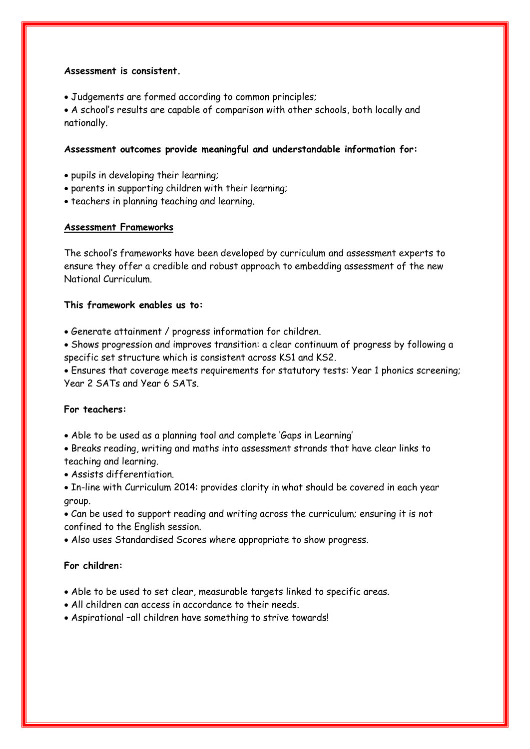### **Assessment is consistent.**

Judgements are formed according to common principles;

 A school's results are capable of comparison with other schools, both locally and nationally.

#### **Assessment outcomes provide meaningful and understandable information for:**

- pupils in developing their learning;
- parents in supporting children with their learning;
- teachers in planning teaching and learning.

#### **Assessment Frameworks**

The school's frameworks have been developed by curriculum and assessment experts to ensure they offer a credible and robust approach to embedding assessment of the new National Curriculum.

#### **This framework enables us to:**

- Generate attainment / progress information for children.
- Shows progression and improves transition: a clear continuum of progress by following a specific set structure which is consistent across KS1 and KS2.

 Ensures that coverage meets requirements for statutory tests: Year 1 phonics screening; Year 2 SATs and Year 6 SATs.

#### **For teachers:**

- Able to be used as a planning tool and complete 'Gaps in Learning'
- Breaks reading, writing and maths into assessment strands that have clear links to teaching and learning.
- Assists differentiation.
- In-line with Curriculum 2014: provides clarity in what should be covered in each year group.

 Can be used to support reading and writing across the curriculum; ensuring it is not confined to the English session.

Also uses Standardised Scores where appropriate to show progress.

#### **For children:**

- Able to be used to set clear, measurable targets linked to specific areas.
- All children can access in accordance to their needs.
- Aspirational –all children have something to strive towards!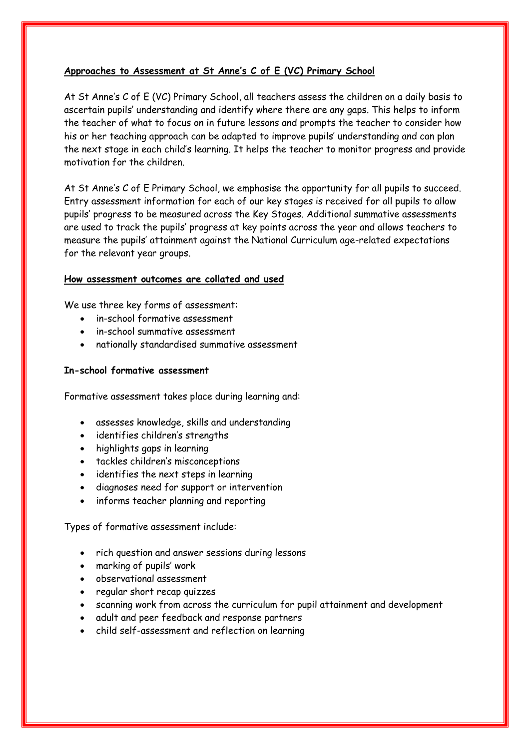## **Approaches to Assessment at St Anne's C of E (VC) Primary School**

At St Anne's C of E (VC) Primary School, all teachers assess the children on a daily basis to ascertain pupils' understanding and identify where there are any gaps. This helps to inform the teacher of what to focus on in future lessons and prompts the teacher to consider how his or her teaching approach can be adapted to improve pupils' understanding and can plan the next stage in each child's learning. It helps the teacher to monitor progress and provide motivation for the children.

At St Anne's C of E Primary School, we emphasise the opportunity for all pupils to succeed. Entry assessment information for each of our key stages is received for all pupils to allow pupils' progress to be measured across the Key Stages. Additional summative assessments are used to track the pupils' progress at key points across the year and allows teachers to measure the pupils' attainment against the National Curriculum age-related expectations for the relevant year groups.

# **How assessment outcomes are collated and used**

We use three key forms of assessment:

- in-school formative assessment
- in-school summative assessment
- nationally standardised summative assessment

## **In-school formative assessment**

Formative assessment takes place during learning and:

- assesses knowledge, skills and understanding
- identifies children's strengths
- highlights gaps in learning
- tackles children's misconceptions
- identifies the next steps in learning
- diagnoses need for support or intervention
- informs teacher planning and reporting

Types of formative assessment include:

- rich question and answer sessions during lessons
- marking of pupils' work
- observational assessment
- regular short recap quizzes
- scanning work from across the curriculum for pupil attainment and development
- adult and peer feedback and response partners
- child self-assessment and reflection on learning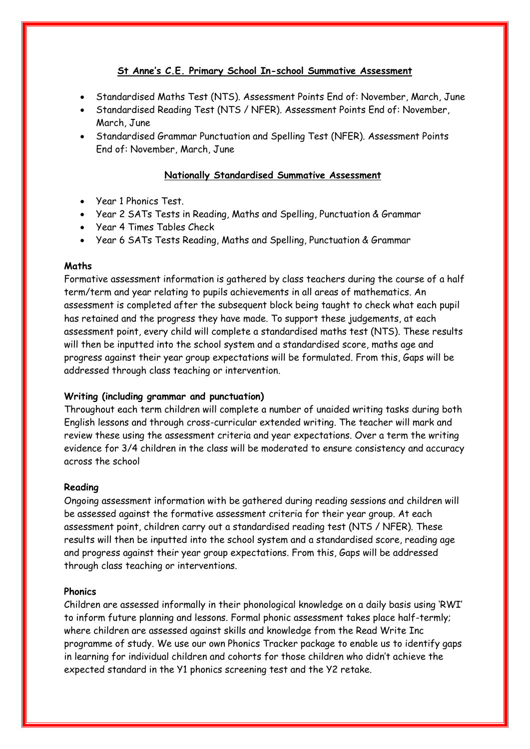# **St Anne's C.E. Primary School In-school Summative Assessment**

- Standardised Maths Test (NTS). Assessment Points End of: November, March, June
- Standardised Reading Test (NTS / NFER). Assessment Points End of: November, March, June
- Standardised Grammar Punctuation and Spelling Test (NFER). Assessment Points End of: November, March, June

## **Nationally Standardised Summative Assessment**

- Year 1 Phonics Test.
- Year 2 SATs Tests in Reading, Maths and Spelling, Punctuation & Grammar
- Year 4 Times Tables Check
- Year 6 SATs Tests Reading, Maths and Spelling, Punctuation & Grammar

#### **Maths**

Formative assessment information is gathered by class teachers during the course of a half term/term and year relating to pupils achievements in all areas of mathematics. An assessment is completed after the subsequent block being taught to check what each pupil has retained and the progress they have made. To support these judgements, at each assessment point, every child will complete a standardised maths test (NTS). These results will then be inputted into the school system and a standardised score, maths age and progress against their year group expectations will be formulated. From this, Gaps will be addressed through class teaching or intervention.

## **Writing (including grammar and punctuation)**

Throughout each term children will complete a number of unaided writing tasks during both English lessons and through cross-curricular extended writing. The teacher will mark and review these using the assessment criteria and year expectations. Over a term the writing evidence for 3/4 children in the class will be moderated to ensure consistency and accuracy across the school

## **Reading**

Ongoing assessment information with be gathered during reading sessions and children will be assessed against the formative assessment criteria for their year group. At each assessment point, children carry out a standardised reading test (NTS / NFER). These results will then be inputted into the school system and a standardised score, reading age and progress against their year group expectations. From this, Gaps will be addressed through class teaching or interventions.

## **Phonics**

Children are assessed informally in their phonological knowledge on a daily basis using 'RWI' to inform future planning and lessons. Formal phonic assessment takes place half-termly; where children are assessed against skills and knowledge from the Read Write Inc programme of study. We use our own Phonics Tracker package to enable us to identify gaps in learning for individual children and cohorts for those children who didn't achieve the expected standard in the Y1 phonics screening test and the Y2 retake.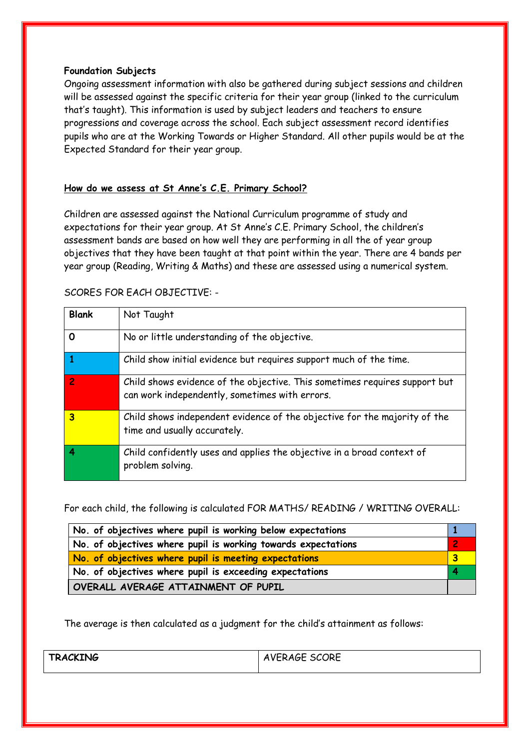### **Foundation Subjects**

Ongoing assessment information with also be gathered during subject sessions and children will be assessed against the specific criteria for their year group (linked to the curriculum that's taught). This information is used by subject leaders and teachers to ensure progressions and coverage across the school. Each subject assessment record identifies pupils who are at the Working Towards or Higher Standard. All other pupils would be at the Expected Standard for their year group.

#### **How do we assess at St Anne's C.E. Primary School?**

Children are assessed against the National Curriculum programme of study and expectations for their year group. At St Anne's C.E. Primary School, the children's assessment bands are based on how well they are performing in all the of year group objectives that they have been taught at that point within the year. There are 4 bands per year group (Reading, Writing & Maths) and these are assessed using a numerical system.

| <b>SCORES FOR EACH OBJECTIVE: -</b> |  |
|-------------------------------------|--|
|                                     |  |

| <b>Blank</b>            | Not Taught                                                                                                                   |
|-------------------------|------------------------------------------------------------------------------------------------------------------------------|
| $\mathbf 0$             | No or little understanding of the objective.                                                                                 |
| $\vert$ 1               | Child show initial evidence but requires support much of the time.                                                           |
| $\overline{2}$          | Child shows evidence of the objective. This sometimes requires support but<br>can work independently, sometimes with errors. |
| $\overline{\mathbf{3}}$ | Child shows independent evidence of the objective for the majority of the<br>time and usually accurately.                    |
| $\vert$ 4               | Child confidently uses and applies the objective in a broad context of<br>problem solving.                                   |

For each child, the following is calculated FOR MATHS/ READING / WRITING OVERALL:

| No. of objectives where pupil is working below expectations   |  |  |
|---------------------------------------------------------------|--|--|
| No. of objectives where pupil is working towards expectations |  |  |
| No. of objectives where pupil is meeting expectations         |  |  |
| No. of objectives where pupil is exceeding expectations       |  |  |
| OVERALL AVERAGE ATTAINMENT OF PUPIL                           |  |  |

The average is then calculated as a judgment for the child's attainment as follows:

| <b>TRACKING</b> | AVERAGE SCORE |
|-----------------|---------------|
|                 |               |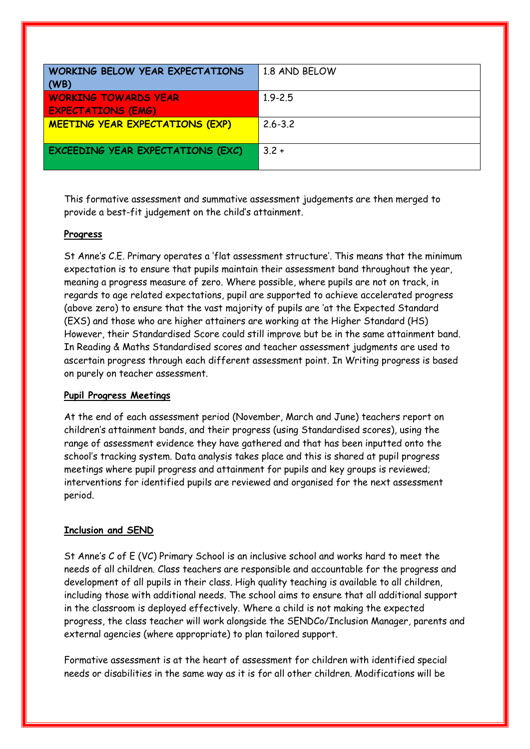| <b>WORKING BELOW YEAR EXPECTATIONS</b>   | 1.8 AND BELOW |
|------------------------------------------|---------------|
| $\vert$ (WB)                             |               |
| <b>WORKING TOWARDS YEAR</b>              | $1.9 - 2.5$   |
| <b>EXPECTATIONS (EMG)</b>                |               |
| <b>MEETING YEAR EXPECTATIONS (EXP)</b>   | $2.6 - 3.2$   |
|                                          |               |
| <b>EXCEEDING YEAR EXPECTATIONS (EXC)</b> | $3.2 +$       |
|                                          |               |

This formative assessment and summative assessment judgements are then merged to provide a best-fit judgement on the child's attainment.

#### **Progress**

St Anne's C.E. Primary operates a 'flat assessment structure'. This means that the minimum expectation is to ensure that pupils maintain their assessment band throughout the year, meaning a progress measure of zero. Where possible, where pupils are not on track, in regards to age related expectations, pupil are supported to achieve accelerated progress (above zero) to ensure that the vast majority of pupils are 'at the Expected Standard (EXS) and those who are higher attainers are working at the Higher Standard (HS) However, their Standardised Score could still improve but be in the same attainment band. In Reading & Maths Standardised scores and teacher assessment judgments are used to ascertain progress through each different assessment point. In Writing progress is based on purely on teacher assessment.

#### **Pupil Progress Meetings**

At the end of each assessment period (November, March and June) teachers report on children's attainment bands, and their progress (using Standardised scores), using the range of assessment evidence they have gathered and that has been inputted onto the school's tracking system. Data analysis takes place and this is shared at pupil progress meetings where pupil progress and attainment for pupils and key groups is reviewed; interventions for identified pupils are reviewed and organised for the next assessment period.

#### **Inclusion and SEND**

St Anne's C of E (VC) Primary School is an inclusive school and works hard to meet the needs of all children. Class teachers are responsible and accountable for the progress and development of all pupils in their class. High quality teaching is available to all children, including those with additional needs. The school aims to ensure that all additional support in the classroom is deployed effectively. Where a child is not making the expected progress, the class teacher will work alongside the SENDCo/Inclusion Manager, parents and external agencies (where appropriate) to plan tailored support.

Formative assessment is at the heart of assessment for children with identified special needs or disabilities in the same way as it is for all other children. Modifications will be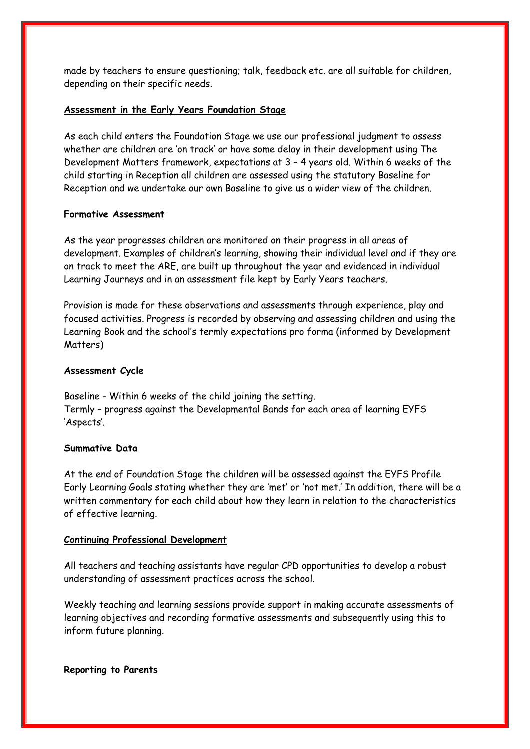made by teachers to ensure questioning; talk, feedback etc. are all suitable for children, depending on their specific needs.

#### **Assessment in the Early Years Foundation Stage**

As each child enters the Foundation Stage we use our professional judgment to assess whether are children are 'on track' or have some delay in their development using The Development Matters framework, expectations at 3 – 4 years old. Within 6 weeks of the child starting in Reception all children are assessed using the statutory Baseline for Reception and we undertake our own Baseline to give us a wider view of the children.

#### **Formative Assessment**

As the year progresses children are monitored on their progress in all areas of development. Examples of children's learning, showing their individual level and if they are on track to meet the ARE, are built up throughout the year and evidenced in individual Learning Journeys and in an assessment file kept by Early Years teachers.

Provision is made for these observations and assessments through experience, play and focused activities. Progress is recorded by observing and assessing children and using the Learning Book and the school's termly expectations pro forma (informed by Development Matters)

#### **Assessment Cycle**

Baseline - Within 6 weeks of the child joining the setting. Termly – progress against the Developmental Bands for each area of learning EYFS 'Aspects'.

#### **Summative Data**

At the end of Foundation Stage the children will be assessed against the EYFS Profile Early Learning Goals stating whether they are 'met' or 'not met.' In addition, there will be a written commentary for each child about how they learn in relation to the characteristics of effective learning.

#### **Continuing Professional Development**

All teachers and teaching assistants have regular CPD opportunities to develop a robust understanding of assessment practices across the school.

Weekly teaching and learning sessions provide support in making accurate assessments of learning objectives and recording formative assessments and subsequently using this to inform future planning.

## **Reporting to Parents**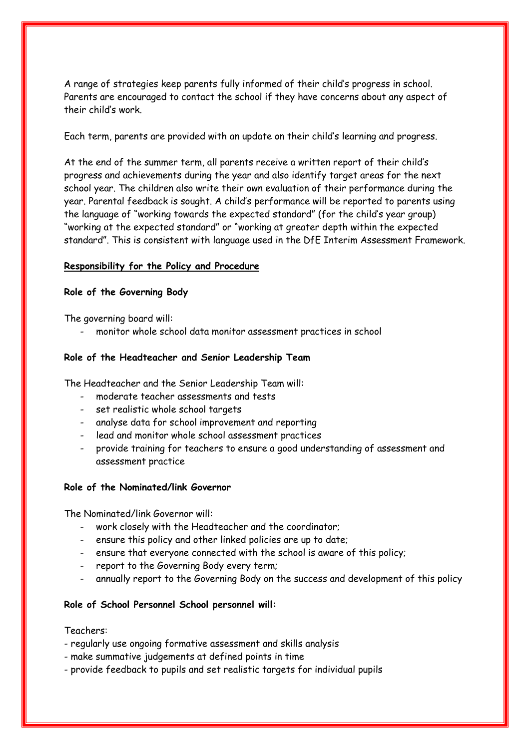A range of strategies keep parents fully informed of their child's progress in school. Parents are encouraged to contact the school if they have concerns about any aspect of their child's work.

Each term, parents are provided with an update on their child's learning and progress.

At the end of the summer term, all parents receive a written report of their child's progress and achievements during the year and also identify target areas for the next school year. The children also write their own evaluation of their performance during the year. Parental feedback is sought. A child's performance will be reported to parents using the language of "working towards the expected standard" (for the child's year group) "working at the expected standard" or "working at greater depth within the expected standard". This is consistent with language used in the DfE Interim Assessment Framework.

#### **Responsibility for the Policy and Procedure**

#### **Role of the Governing Body**

The governing board will:

- monitor whole school data monitor assessment practices in school

#### **Role of the Headteacher and Senior Leadership Team**

The Headteacher and the Senior Leadership Team will:

- moderate teacher assessments and tests
- set realistic whole school targets
- analyse data for school improvement and reporting
- lead and monitor whole school assessment practices
- provide training for teachers to ensure a good understanding of assessment and assessment practice

#### **Role of the Nominated/link Governor**

The Nominated/link Governor will:

- work closely with the Headteacher and the coordinator;
- ensure this policy and other linked policies are up to date;
- ensure that everyone connected with the school is aware of this policy;
- report to the Governing Body every term;
- annually report to the Governing Body on the success and development of this policy

#### **Role of School Personnel School personnel will:**

#### Teachers:

- regularly use ongoing formative assessment and skills analysis
- make summative judgements at defined points in time
- provide feedback to pupils and set realistic targets for individual pupils